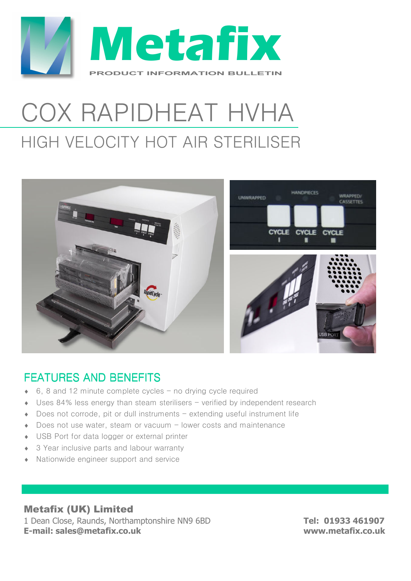

# COX RAPIDHEAT HVHA HIGH VELOCITY HOT AIR STERILISER



## FFATURES AND BENEFITS

- $\bullet$  6, 8 and 12 minute complete cycles no drying cycle required
- Uses 84% less energy than steam sterilisers  $-$  verified by independent research
- Does not corrode, pit or dull instruments extending useful instrument life
- Does not use water, steam or vacuum lower costs and maintenance
- ♦ USB Port for data logger or external printer
- ◆ 3 Year inclusive parts and labour warranty
- ♦ Nationwide engineer support and service

#### Metafix (UK) Limited

1 Dean Close, Raunds, Northamptonshire NN9 6BD **Tel: 01933 461907 E-mail: sales@metafix.co.uk www.metafix.co.uk**